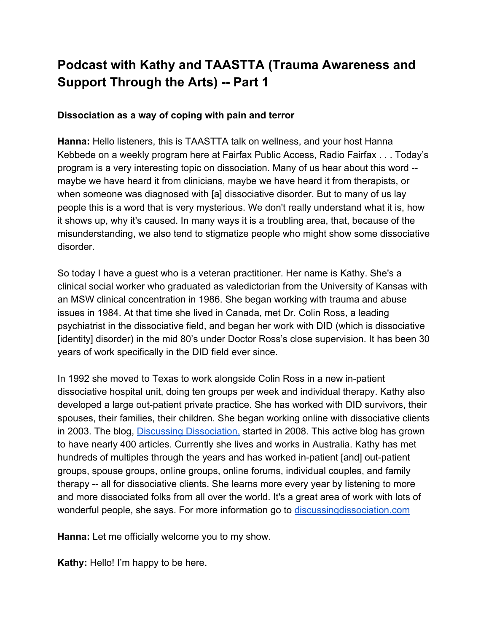# **Podcast with Kathy and TAASTTA (Trauma Awareness and Support Through the Arts) -- Part 1**

### **Dissociation as a way of coping with pain and terror**

**Hanna:** Hello listeners, this is TAASTTA talk on wellness, and your host Hanna Kebbede on a weekly program here at Fairfax Public Access, Radio Fairfax . . . Today's program is a very interesting topic on dissociation. Many of us hear about this word - maybe we have heard it from clinicians, maybe we have heard it from therapists, or when someone was diagnosed with [a] dissociative disorder. But to many of us lay people this is a word that is very mysterious. We don't really understand what it is, how it shows up, why it's caused. In many ways it is a troubling area, that, because of the misunderstanding, we also tend to stigmatize people who might show some dissociative disorder.

So today I have a guest who is a veteran practitioner. Her name is Kathy. She's a clinical social worker who graduated as valedictorian from the University of Kansas with an MSW clinical concentration in 1986. She began working with trauma and abuse issues in 1984. At that time she lived in Canada, met Dr. Colin Ross, a leading psychiatrist in the dissociative field, and began her work with DID (which is dissociative [identity] disorder) in the mid 80's under Doctor Ross's close supervision. It has been 30 years of work specifically in the DID field ever since.

In 1992 she moved to Texas to work alongside Colin Ross in a new in-patient dissociative hospital unit, doing ten groups per week and individual therapy. Kathy also developed a large out-patient private practice. She has worked with DID survivors, their spouses, their families, their children. She began working online with dissociative clients in 2003. The blog, [Discussing Dissociation,](http://www.discussingdissociation.com/) started in 2008. This active blog has grown to have nearly 400 articles. Currently she lives and works in Australia. Kathy has met hundreds of multiples through the years and has worked in-patient [and] out-patient groups, spouse groups, online groups, online forums, individual couples, and family therapy -- all for dissociative clients. She learns more every year by listening to more and more dissociated folks from all over the world. It's a great area of work with lots of wonderful people, she says. For more information go to [discussingdissociation.com](http://www.discussingdissociation.com/)

**Hanna:** Let me officially welcome you to my show.

**Kathy:** Hello! I'm happy to be here.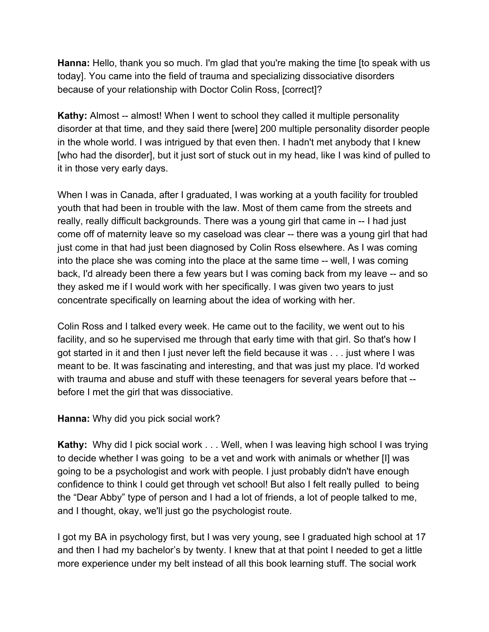**Hanna:** Hello, thank you so much. I'm glad that you're making the time [to speak with us today]. You came into the field of trauma and specializing dissociative disorders because of your relationship with Doctor Colin Ross, [correct]?

**Kathy:** Almost -- almost! When I went to school they called it multiple personality disorder at that time, and they said there [were] 200 multiple personality disorder people in the whole world. I was intrigued by that even then. I hadn't met anybody that I knew [who had the disorder], but it just sort of stuck out in my head, like I was kind of pulled to it in those very early days.

When I was in Canada, after I graduated, I was working at a youth facility for troubled youth that had been in trouble with the law. Most of them came from the streets and really, really difficult backgrounds. There was a young girl that came in -- I had just come off of maternity leave so my caseload was clear -- there was a young girl that had just come in that had just been diagnosed by Colin Ross elsewhere. As I was coming into the place she was coming into the place at the same time -- well, I was coming back, I'd already been there a few years but I was coming back from my leave -- and so they asked me if I would work with her specifically. I was given two years to just concentrate specifically on learning about the idea of working with her.

Colin Ross and I talked every week. He came out to the facility, we went out to his facility, and so he supervised me through that early time with that girl. So that's how I got started in it and then I just never left the field because it was . . . just where I was meant to be. It was fascinating and interesting, and that was just my place. I'd worked with trauma and abuse and stuff with these teenagers for several years before that - before I met the girl that was dissociative.

**Hanna:** Why did you pick social work?

**Kathy:** Why did I pick social work . . . Well, when I was leaving high school I was trying to decide whether I was going to be a vet and work with animals or whether [I] was going to be a psychologist and work with people. I just probably didn't have enough confidence to think I could get through vet school! But also I felt really pulled to being the "Dear Abby" type of person and I had a lot of friends, a lot of people talked to me, and I thought, okay, we'll just go the psychologist route.

I got my BA in psychology first, but I was very young, see I graduated high school at 17 and then I had my bachelor's by twenty. I knew that at that point I needed to get a little more experience under my belt instead of all this book learning stuff. The social work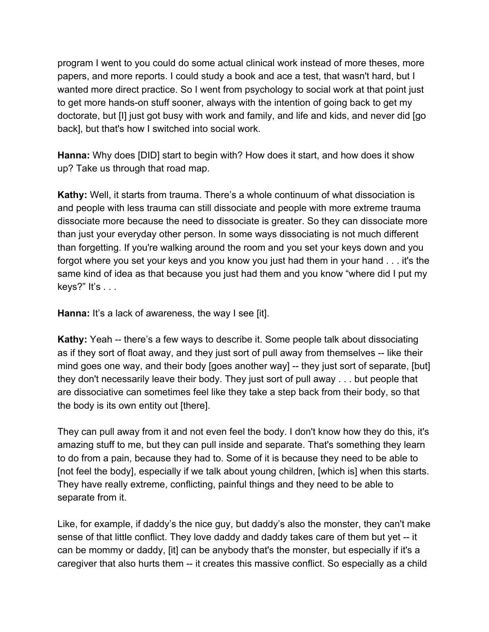program I went to you could do some actual clinical work instead of more theses, more papers, and more reports. I could study a book and ace a test, that wasn't hard, but I wanted more direct practice. So I went from psychology to social work at that point just to get more hands-on stuff sooner, always with the intention of going back to get my doctorate, but [I] just got busy with work and family, and life and kids, and never did [go back], but that's how I switched into social work.

**Hanna:** Why does [DID] start to begin with? How does it start, and how does it show up? Take us through that road map.

**Kathy:** Well, it starts from trauma. There's a whole continuum of what dissociation is and people with less trauma can still dissociate and people with more extreme trauma dissociate more because the need to dissociate is greater. So they can dissociate more than just your everyday other person. In some ways dissociating is not much different than forgetting. If you're walking around the room and you set your keys down and you forgot where you set your keys and you know you just had them in your hand . . . it's the same kind of idea as that because you just had them and you know "where did I put my keys?" It's . . .

**Hanna:** It's a lack of awareness, the way I see [it].

**Kathy:** Yeah -- there's a few ways to describe it. Some people talk about dissociating as if they sort of float away, and they just sort of pull away from themselves -- like their mind goes one way, and their body [goes another way] -- they just sort of separate, [but] they don't necessarily leave their body. They just sort of pull away . . . but people that are dissociative can sometimes feel like they take a step back from their body, so that the body is its own entity out [there].

They can pull away from it and not even feel the body. I don't know how they do this, it's amazing stuff to me, but they can pull inside and separate. That's something they learn to do from a pain, because they had to. Some of it is because they need to be able to [not feel the body], especially if we talk about young children, [which is] when this starts. They have really extreme, conflicting, painful things and they need to be able to separate from it.

Like, for example, if daddy's the nice guy, but daddy's also the monster, they can't make sense of that little conflict. They love daddy and daddy takes care of them but yet -- it can be mommy or daddy, [it] can be anybody that's the monster, but especially if it's a caregiver that also hurts them -- it creates this massive conflict. So especially as a child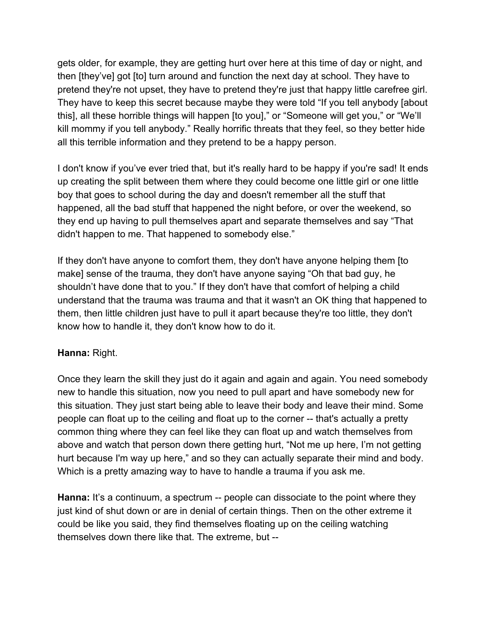gets older, for example, they are getting hurt over here at this time of day or night, and then [they've] got [to] turn around and function the next day at school. They have to pretend they're not upset, they have to pretend they're just that happy little carefree girl. They have to keep this secret because maybe they were told "If you tell anybody [about this], all these horrible things will happen [to you]," or "Someone will get you," or "We'll kill mommy if you tell anybody." Really horrific threats that they feel, so they better hide all this terrible information and they pretend to be a happy person.

I don't know if you've ever tried that, but it's really hard to be happy if you're sad! It ends up creating the split between them where they could become one little girl or one little boy that goes to school during the day and doesn't remember all the stuff that happened, all the bad stuff that happened the night before, or over the weekend, so they end up having to pull themselves apart and separate themselves and say "That didn't happen to me. That happened to somebody else."

If they don't have anyone to comfort them, they don't have anyone helping them [to make] sense of the trauma, they don't have anyone saying "Oh that bad guy, he shouldn't have done that to you." If they don't have that comfort of helping a child understand that the trauma was trauma and that it wasn't an OK thing that happened to them, then little children just have to pull it apart because they're too little, they don't know how to handle it, they don't know how to do it.

### **Hanna:** Right.

Once they learn the skill they just do it again and again and again. You need somebody new to handle this situation, now you need to pull apart and have somebody new for this situation. They just start being able to leave their body and leave their mind. Some people can float up to the ceiling and float up to the corner -- that's actually a pretty common thing where they can feel like they can float up and watch themselves from above and watch that person down there getting hurt, "Not me up here, I'm not getting hurt because I'm way up here," and so they can actually separate their mind and body. Which is a pretty amazing way to have to handle a trauma if you ask me.

**Hanna:** It's a continuum, a spectrum -- people can dissociate to the point where they just kind of shut down or are in denial of certain things. Then on the other extreme it could be like you said, they find themselves floating up on the ceiling watching themselves down there like that. The extreme, but --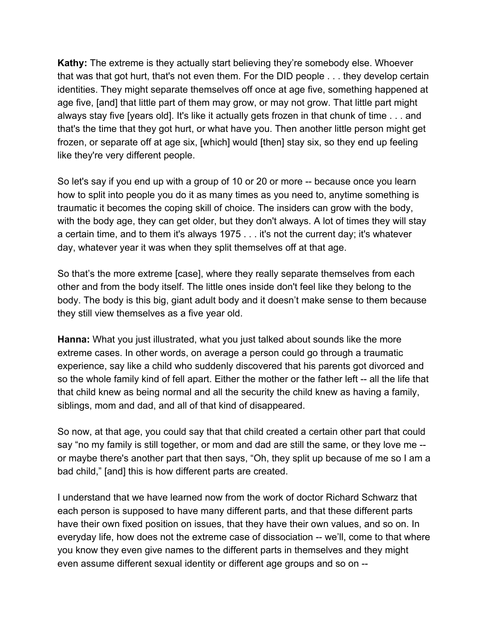**Kathy:** The extreme is they actually start believing they're somebody else. Whoever that was that got hurt, that's not even them. For the DID people . . . they develop certain identities. They might separate themselves off once at age five, something happened at age five, [and] that little part of them may grow, or may not grow. That little part might always stay five [years old]. It's like it actually gets frozen in that chunk of time . . . and that's the time that they got hurt, or what have you. Then another little person might get frozen, or separate off at age six, [which] would [then] stay six, so they end up feeling like they're very different people.

So let's say if you end up with a group of 10 or 20 or more -- because once you learn how to split into people you do it as many times as you need to, anytime something is traumatic it becomes the coping skill of choice. The insiders can grow with the body, with the body age, they can get older, but they don't always. A lot of times they will stay a certain time, and to them it's always 1975 . . . it's not the current day; it's whatever day, whatever year it was when they split themselves off at that age.

So that's the more extreme [case], where they really separate themselves from each other and from the body itself. The little ones inside don't feel like they belong to the body. The body is this big, giant adult body and it doesn't make sense to them because they still view themselves as a five year old.

**Hanna:** What you just illustrated, what you just talked about sounds like the more extreme cases. In other words, on average a person could go through a traumatic experience, say like a child who suddenly discovered that his parents got divorced and so the whole family kind of fell apart. Either the mother or the father left -- all the life that that child knew as being normal and all the security the child knew as having a family, siblings, mom and dad, and all of that kind of disappeared.

So now, at that age, you could say that that child created a certain other part that could say "no my family is still together, or mom and dad are still the same, or they love me - or maybe there's another part that then says, "Oh, they split up because of me so I am a bad child," [and] this is how different parts are created.

I understand that we have learned now from the work of doctor Richard Schwarz that each person is supposed to have many different parts, and that these different parts have their own fixed position on issues, that they have their own values, and so on. In everyday life, how does not the extreme case of dissociation -- we'll, come to that where you know they even give names to the different parts in themselves and they might even assume different sexual identity or different age groups and so on --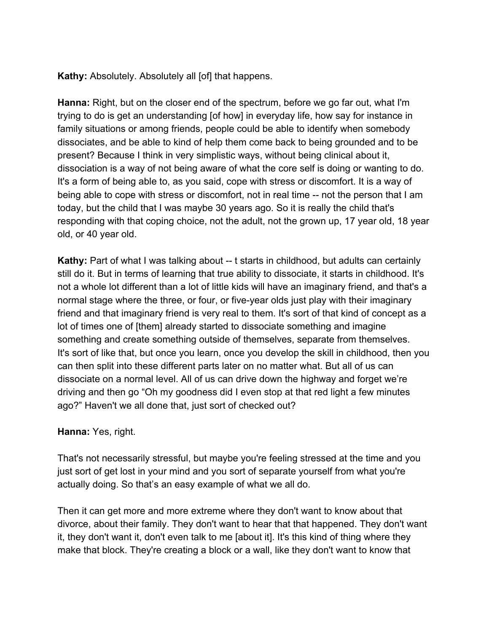**Kathy:** Absolutely. Absolutely all [of] that happens.

**Hanna:** Right, but on the closer end of the spectrum, before we go far out, what I'm trying to do is get an understanding [of how] in everyday life, how say for instance in family situations or among friends, people could be able to identify when somebody dissociates, and be able to kind of help them come back to being grounded and to be present? Because I think in very simplistic ways, without being clinical about it, dissociation is a way of not being aware of what the core self is doing or wanting to do. It's a form of being able to, as you said, cope with stress or discomfort. It is a way of being able to cope with stress or discomfort, not in real time -- not the person that I am today, but the child that I was maybe 30 years ago. So it is really the child that's responding with that coping choice, not the adult, not the grown up, 17 year old, 18 year old, or 40 year old.

**Kathy:** Part of what I was talking about -- t starts in childhood, but adults can certainly still do it. But in terms of learning that true ability to dissociate, it starts in childhood. It's not a whole lot different than a lot of little kids will have an imaginary friend, and that's a normal stage where the three, or four, or five-year olds just play with their imaginary friend and that imaginary friend is very real to them. It's sort of that kind of concept as a lot of times one of [them] already started to dissociate something and imagine something and create something outside of themselves, separate from themselves. It's sort of like that, but once you learn, once you develop the skill in childhood, then you can then split into these different parts later on no matter what. But all of us can dissociate on a normal level. All of us can drive down the highway and forget we're driving and then go "Oh my goodness did I even stop at that red light a few minutes ago?" Haven't we all done that, just sort of checked out?

### **Hanna:** Yes, right.

That's not necessarily stressful, but maybe you're feeling stressed at the time and you just sort of get lost in your mind and you sort of separate yourself from what you're actually doing. So that's an easy example of what we all do.

Then it can get more and more extreme where they don't want to know about that divorce, about their family. They don't want to hear that that happened. They don't want it, they don't want it, don't even talk to me [about it]. It's this kind of thing where they make that block. They're creating a block or a wall, like they don't want to know that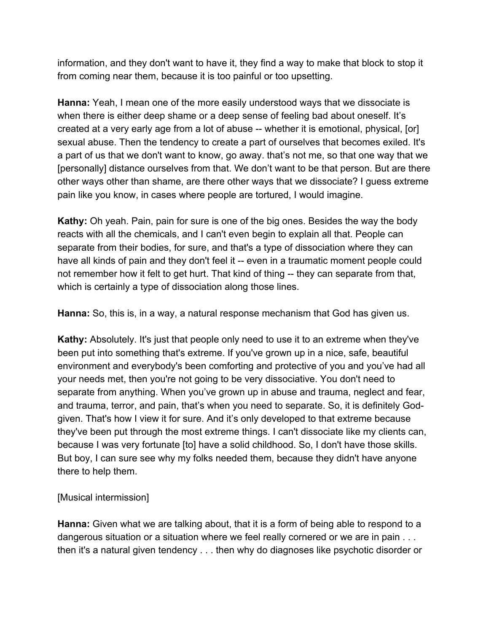information, and they don't want to have it, they find a way to make that block to stop it from coming near them, because it is too painful or too upsetting.

**Hanna:** Yeah, I mean one of the more easily understood ways that we dissociate is when there is either deep shame or a deep sense of feeling bad about oneself. It's created at a very early age from a lot of abuse -- whether it is emotional, physical, [or] sexual abuse. Then the tendency to create a part of ourselves that becomes exiled. It's a part of us that we don't want to know, go away. that's not me, so that one way that we [personally] distance ourselves from that. We don't want to be that person. But are there other ways other than shame, are there other ways that we dissociate? I guess extreme pain like you know, in cases where people are tortured, I would imagine.

**Kathy:** Oh yeah. Pain, pain for sure is one of the big ones. Besides the way the body reacts with all the chemicals, and I can't even begin to explain all that. People can separate from their bodies, for sure, and that's a type of dissociation where they can have all kinds of pain and they don't feel it -- even in a traumatic moment people could not remember how it felt to get hurt. That kind of thing -- they can separate from that, which is certainly a type of dissociation along those lines.

**Hanna:** So, this is, in a way, a natural response mechanism that God has given us.

**Kathy:** Absolutely. It's just that people only need to use it to an extreme when they've been put into something that's extreme. If you've grown up in a nice, safe, beautiful environment and everybody's been comforting and protective of you and you've had all your needs met, then you're not going to be very dissociative. You don't need to separate from anything. When you've grown up in abuse and trauma, neglect and fear, and trauma, terror, and pain, that's when you need to separate. So, it is definitely Godgiven. That's how I view it for sure. And it's only developed to that extreme because they've been put through the most extreme things. I can't dissociate like my clients can, because I was very fortunate [to] have a solid childhood. So, I don't have those skills. But boy, I can sure see why my folks needed them, because they didn't have anyone there to help them.

[Musical intermission]

**Hanna:** Given what we are talking about, that it is a form of being able to respond to a dangerous situation or a situation where we feel really cornered or we are in pain . . . then it's a natural given tendency . . . then why do diagnoses like psychotic disorder or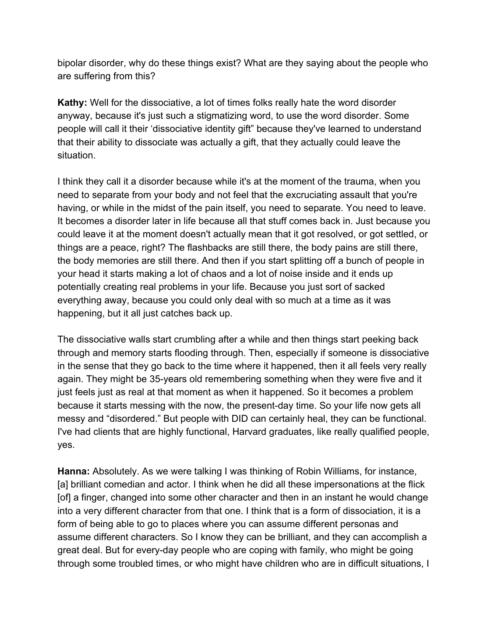bipolar disorder, why do these things exist? What are they saying about the people who are suffering from this?

**Kathy:** Well for the dissociative, a lot of times folks really hate the word disorder anyway, because it's just such a stigmatizing word, to use the word disorder. Some people will call it their 'dissociative identity gift" because they've learned to understand that their ability to dissociate was actually a gift, that they actually could leave the situation.

I think they call it a disorder because while it's at the moment of the trauma, when you need to separate from your body and not feel that the excruciating assault that you're having, or while in the midst of the pain itself, you need to separate. You need to leave. It becomes a disorder later in life because all that stuff comes back in. Just because you could leave it at the moment doesn't actually mean that it got resolved, or got settled, or things are a peace, right? The flashbacks are still there, the body pains are still there, the body memories are still there. And then if you start splitting off a bunch of people in your head it starts making a lot of chaos and a lot of noise inside and it ends up potentially creating real problems in your life. Because you just sort of sacked everything away, because you could only deal with so much at a time as it was happening, but it all just catches back up.

The dissociative walls start crumbling after a while and then things start peeking back through and memory starts flooding through. Then, especially if someone is dissociative in the sense that they go back to the time where it happened, then it all feels very really again. They might be 35-years old remembering something when they were five and it just feels just as real at that moment as when it happened. So it becomes a problem because it starts messing with the now, the present-day time. So your life now gets all messy and "disordered." But people with DID can certainly heal, they can be functional. I've had clients that are highly functional, Harvard graduates, like really qualified people, yes.

**Hanna:** Absolutely. As we were talking I was thinking of Robin Williams, for instance, [a] brilliant comedian and actor. I think when he did all these impersonations at the flick [of] a finger, changed into some other character and then in an instant he would change into a very different character from that one. I think that is a form of dissociation, it is a form of being able to go to places where you can assume different personas and assume different characters. So I know they can be brilliant, and they can accomplish a great deal. But for every-day people who are coping with family, who might be going through some troubled times, or who might have children who are in difficult situations, I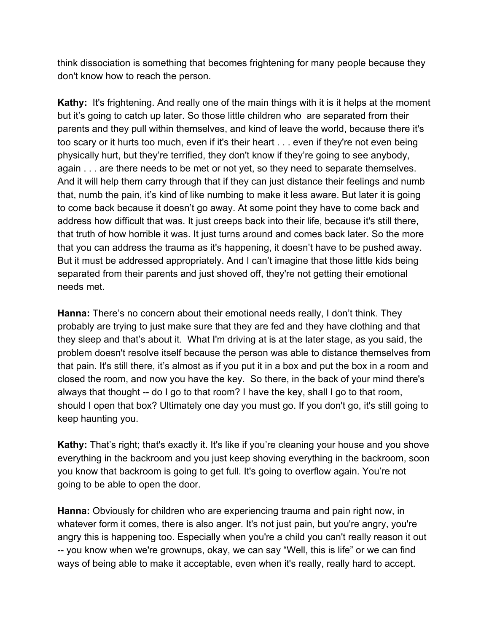think dissociation is something that becomes frightening for many people because they don't know how to reach the person.

**Kathy:** It's frightening. And really one of the main things with it is it helps at the moment but it's going to catch up later. So those little children who are separated from their parents and they pull within themselves, and kind of leave the world, because there it's too scary or it hurts too much, even if it's their heart . . . even if they're not even being physically hurt, but they're terrified, they don't know if they're going to see anybody, again . . . are there needs to be met or not yet, so they need to separate themselves. And it will help them carry through that if they can just distance their feelings and numb that, numb the pain, it's kind of like numbing to make it less aware. But later it is going to come back because it doesn't go away. At some point they have to come back and address how difficult that was. It just creeps back into their life, because it's still there, that truth of how horrible it was. It just turns around and comes back later. So the more that you can address the trauma as it's happening, it doesn't have to be pushed away. But it must be addressed appropriately. And I can't imagine that those little kids being separated from their parents and just shoved off, they're not getting their emotional needs met.

**Hanna:** There's no concern about their emotional needs really, I don't think. They probably are trying to just make sure that they are fed and they have clothing and that they sleep and that's about it. What I'm driving at is at the later stage, as you said, the problem doesn't resolve itself because the person was able to distance themselves from that pain. It's still there, it's almost as if you put it in a box and put the box in a room and closed the room, and now you have the key. So there, in the back of your mind there's always that thought -- do I go to that room? I have the key, shall I go to that room, should I open that box? Ultimately one day you must go. If you don't go, it's still going to keep haunting you.

**Kathy:** That's right; that's exactly it. It's like if you're cleaning your house and you shove everything in the backroom and you just keep shoving everything in the backroom, soon you know that backroom is going to get full. It's going to overflow again. You're not going to be able to open the door.

**Hanna:** Obviously for children who are experiencing trauma and pain right now, in whatever form it comes, there is also anger. It's not just pain, but you're angry, you're angry this is happening too. Especially when you're a child you can't really reason it out -- you know when we're grownups, okay, we can say "Well, this is life" or we can find ways of being able to make it acceptable, even when it's really, really hard to accept.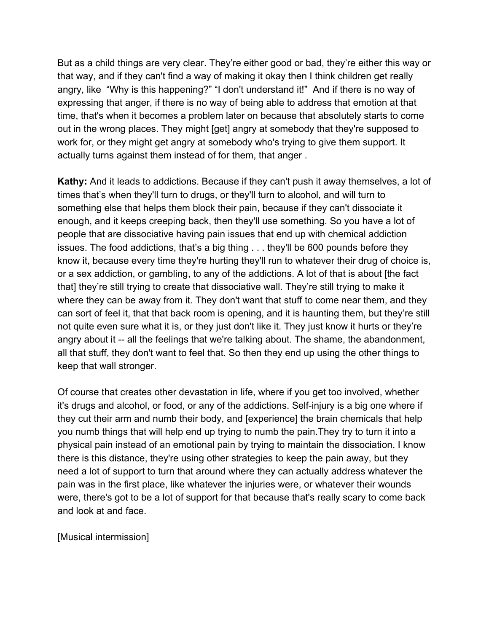But as a child things are very clear. They're either good or bad, they're either this way or that way, and if they can't find a way of making it okay then I think children get really angry, like "Why is this happening?" "I don't understand it!" And if there is no way of expressing that anger, if there is no way of being able to address that emotion at that time, that's when it becomes a problem later on because that absolutely starts to come out in the wrong places. They might [get] angry at somebody that they're supposed to work for, or they might get angry at somebody who's trying to give them support. It actually turns against them instead of for them, that anger .

**Kathy:** And it leads to addictions. Because if they can't push it away themselves, a lot of times that's when they'll turn to drugs, or they'll turn to alcohol, and will turn to something else that helps them block their pain, because if they can't dissociate it enough, and it keeps creeping back, then they'll use something. So you have a lot of people that are dissociative having pain issues that end up with chemical addiction issues. The food addictions, that's a big thing . . . they'll be 600 pounds before they know it, because every time they're hurting they'll run to whatever their drug of choice is, or a sex addiction, or gambling, to any of the addictions. A lot of that is about [the fact that] they're still trying to create that dissociative wall. They're still trying to make it where they can be away from it. They don't want that stuff to come near them, and they can sort of feel it, that that back room is opening, and it is haunting them, but they're still not quite even sure what it is, or they just don't like it. They just know it hurts or they're angry about it -- all the feelings that we're talking about. The shame, the abandonment, all that stuff, they don't want to feel that. So then they end up using the other things to keep that wall stronger.

Of course that creates other devastation in life, where if you get too involved, whether it's drugs and alcohol, or food, or any of the addictions. Self-injury is a big one where if they cut their arm and numb their body, and [experience] the brain chemicals that help you numb things that will help end up trying to numb the pain.They try to turn it into a physical pain instead of an emotional pain by trying to maintain the dissociation. I know there is this distance, they're using other strategies to keep the pain away, but they need a lot of support to turn that around where they can actually address whatever the pain was in the first place, like whatever the injuries were, or whatever their wounds were, there's got to be a lot of support for that because that's really scary to come back and look at and face.

[Musical intermission]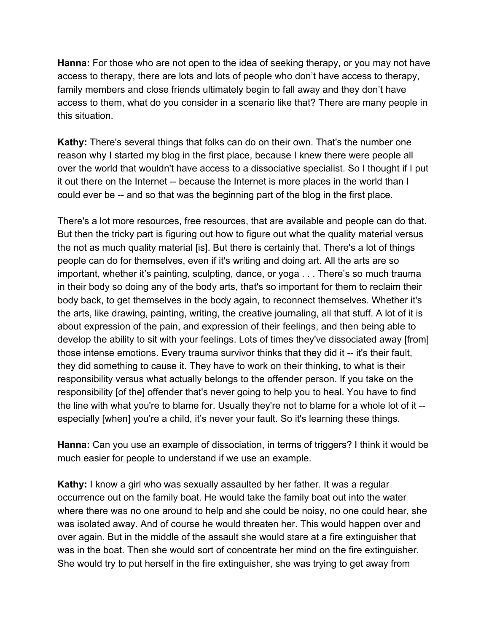**Hanna:** For those who are not open to the idea of seeking therapy, or you may not have access to therapy, there are lots and lots of people who don't have access to therapy, family members and close friends ultimately begin to fall away and they don't have access to them, what do you consider in a scenario like that? There are many people in this situation.

**Kathy:** There's several things that folks can do on their own. That's the number one reason why I started my blog in the first place, because I knew there were people all over the world that wouldn't have access to a dissociative specialist. So I thought if I put it out there on the Internet -- because the Internet is more places in the world than I could ever be -- and so that was the beginning part of the blog in the first place.

There's a lot more resources, free resources, that are available and people can do that. But then the tricky part is figuring out how to figure out what the quality material versus the not as much quality material [is]. But there is certainly that. There's a lot of things people can do for themselves, even if it's writing and doing art. All the arts are so important, whether it's painting, sculpting, dance, or yoga . . . There's so much trauma in their body so doing any of the body arts, that's so important for them to reclaim their body back, to get themselves in the body again, to reconnect themselves. Whether it's the arts, like drawing, painting, writing, the creative journaling, all that stuff. A lot of it is about expression of the pain, and expression of their feelings, and then being able to develop the ability to sit with your feelings. Lots of times they've dissociated away [from] those intense emotions. Every trauma survivor thinks that they did it -- it's their fault, they did something to cause it. They have to work on their thinking, to what is their responsibility versus what actually belongs to the offender person. If you take on the responsibility [of the] offender that's never going to help you to heal. You have to find the line with what you're to blame for. Usually they're not to blame for a whole lot of it - especially [when] you're a child, it's never your fault. So it's learning these things.

**Hanna:** Can you use an example of dissociation, in terms of triggers? I think it would be much easier for people to understand if we use an example.

**Kathy:** I know a girl who was sexually assaulted by her father. It was a regular occurrence out on the family boat. He would take the family boat out into the water where there was no one around to help and she could be noisy, no one could hear, she was isolated away. And of course he would threaten her. This would happen over and over again. But in the middle of the assault she would stare at a fire extinguisher that was in the boat. Then she would sort of concentrate her mind on the fire extinguisher. She would try to put herself in the fire extinguisher, she was trying to get away from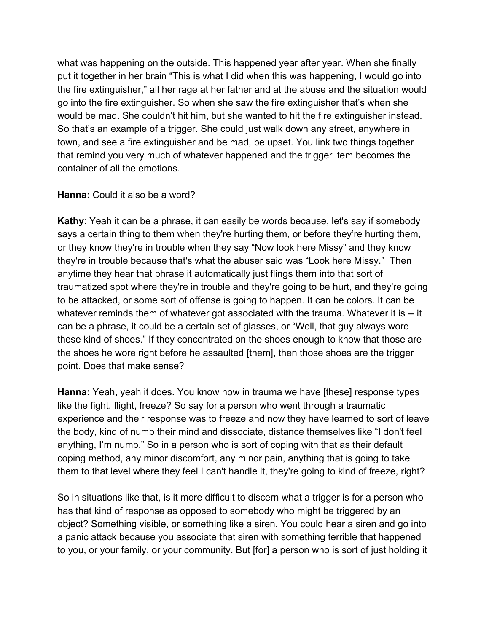what was happening on the outside. This happened year after year. When she finally put it together in her brain "This is what I did when this was happening, I would go into the fire extinguisher," all her rage at her father and at the abuse and the situation would go into the fire extinguisher. So when she saw the fire extinguisher that's when she would be mad. She couldn't hit him, but she wanted to hit the fire extinguisher instead. So that's an example of a trigger. She could just walk down any street, anywhere in town, and see a fire extinguisher and be mad, be upset. You link two things together that remind you very much of whatever happened and the trigger item becomes the container of all the emotions.

#### **Hanna:** Could it also be a word?

**Kathy**: Yeah it can be a phrase, it can easily be words because, let's say if somebody says a certain thing to them when they're hurting them, or before they're hurting them, or they know they're in trouble when they say "Now look here Missy" and they know they're in trouble because that's what the abuser said was "Look here Missy." Then anytime they hear that phrase it automatically just flings them into that sort of traumatized spot where they're in trouble and they're going to be hurt, and they're going to be attacked, or some sort of offense is going to happen. It can be colors. It can be whatever reminds them of whatever got associated with the trauma. Whatever it is -- it can be a phrase, it could be a certain set of glasses, or "Well, that guy always wore these kind of shoes." If they concentrated on the shoes enough to know that those are the shoes he wore right before he assaulted [them], then those shoes are the trigger point. Does that make sense?

**Hanna:** Yeah, yeah it does. You know how in trauma we have [these] response types like the fight, flight, freeze? So say for a person who went through a traumatic experience and their response was to freeze and now they have learned to sort of leave the body, kind of numb their mind and dissociate, distance themselves like "I don't feel anything, I'm numb." So in a person who is sort of coping with that as their default coping method, any minor discomfort, any minor pain, anything that is going to take them to that level where they feel I can't handle it, they're going to kind of freeze, right?

So in situations like that, is it more difficult to discern what a trigger is for a person who has that kind of response as opposed to somebody who might be triggered by an object? Something visible, or something like a siren. You could hear a siren and go into a panic attack because you associate that siren with something terrible that happened to you, or your family, or your community. But [for] a person who is sort of just holding it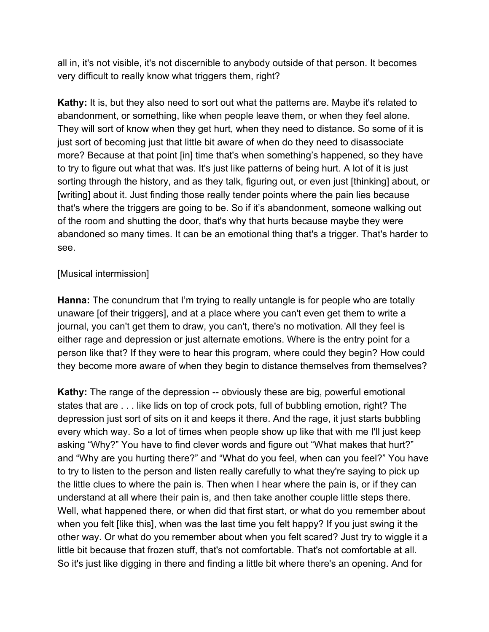all in, it's not visible, it's not discernible to anybody outside of that person. It becomes very difficult to really know what triggers them, right?

**Kathy:** It is, but they also need to sort out what the patterns are. Maybe it's related to abandonment, or something, like when people leave them, or when they feel alone. They will sort of know when they get hurt, when they need to distance. So some of it is just sort of becoming just that little bit aware of when do they need to disassociate more? Because at that point [in] time that's when something's happened, so they have to try to figure out what that was. It's just like patterns of being hurt. A lot of it is just sorting through the history, and as they talk, figuring out, or even just [thinking] about, or [writing] about it. Just finding those really tender points where the pain lies because that's where the triggers are going to be. So if it's abandonment, someone walking out of the room and shutting the door, that's why that hurts because maybe they were abandoned so many times. It can be an emotional thing that's a trigger. That's harder to see.

## [Musical intermission]

**Hanna:** The conundrum that I'm trying to really untangle is for people who are totally unaware [of their triggers], and at a place where you can't even get them to write a journal, you can't get them to draw, you can't, there's no motivation. All they feel is either rage and depression or just alternate emotions. Where is the entry point for a person like that? If they were to hear this program, where could they begin? How could they become more aware of when they begin to distance themselves from themselves?

**Kathy:** The range of the depression -- obviously these are big, powerful emotional states that are . . . like lids on top of crock pots, full of bubbling emotion, right? The depression just sort of sits on it and keeps it there. And the rage, it just starts bubbling every which way. So a lot of times when people show up like that with me I'll just keep asking "Why?" You have to find clever words and figure out "What makes that hurt?" and "Why are you hurting there?" and "What do you feel, when can you feel?" You have to try to listen to the person and listen really carefully to what they're saying to pick up the little clues to where the pain is. Then when I hear where the pain is, or if they can understand at all where their pain is, and then take another couple little steps there. Well, what happened there, or when did that first start, or what do you remember about when you felt [like this], when was the last time you felt happy? If you just swing it the other way. Or what do you remember about when you felt scared? Just try to wiggle it a little bit because that frozen stuff, that's not comfortable. That's not comfortable at all. So it's just like digging in there and finding a little bit where there's an opening. And for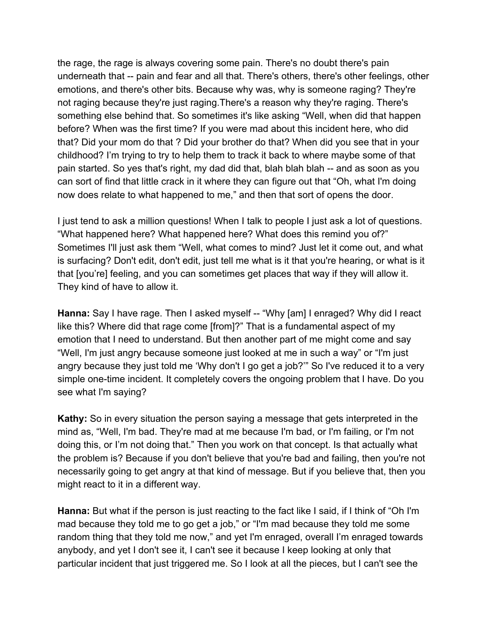the rage, the rage is always covering some pain. There's no doubt there's pain underneath that -- pain and fear and all that. There's others, there's other feelings, other emotions, and there's other bits. Because why was, why is someone raging? They're not raging because they're just raging.There's a reason why they're raging. There's something else behind that. So sometimes it's like asking "Well, when did that happen before? When was the first time? If you were mad about this incident here, who did that? Did your mom do that ? Did your brother do that? When did you see that in your childhood? I'm trying to try to help them to track it back to where maybe some of that pain started. So yes that's right, my dad did that, blah blah blah -- and as soon as you can sort of find that little crack in it where they can figure out that "Oh, what I'm doing now does relate to what happened to me," and then that sort of opens the door.

I just tend to ask a million questions! When I talk to people I just ask a lot of questions. "What happened here? What happened here? What does this remind you of?" Sometimes I'll just ask them "Well, what comes to mind? Just let it come out, and what is surfacing? Don't edit, don't edit, just tell me what is it that you're hearing, or what is it that [you're] feeling, and you can sometimes get places that way if they will allow it. They kind of have to allow it.

**Hanna:** Say I have rage. Then I asked myself -- "Why [am] I enraged? Why did I react like this? Where did that rage come [from]?" That is a fundamental aspect of my emotion that I need to understand. But then another part of me might come and say "Well, I'm just angry because someone just looked at me in such a way" or "I'm just angry because they just told me 'Why don't I go get a job?'" So I've reduced it to a very simple one-time incident. It completely covers the ongoing problem that I have. Do you see what I'm saying?

**Kathy:** So in every situation the person saying a message that gets interpreted in the mind as, "Well, I'm bad. They're mad at me because I'm bad, or I'm failing, or I'm not doing this, or I'm not doing that." Then you work on that concept. Is that actually what the problem is? Because if you don't believe that you're bad and failing, then you're not necessarily going to get angry at that kind of message. But if you believe that, then you might react to it in a different way.

**Hanna:** But what if the person is just reacting to the fact like I said, if I think of "Oh I'm mad because they told me to go get a job," or "I'm mad because they told me some random thing that they told me now," and yet I'm enraged, overall I'm enraged towards anybody, and yet I don't see it, I can't see it because I keep looking at only that particular incident that just triggered me. So I look at all the pieces, but I can't see the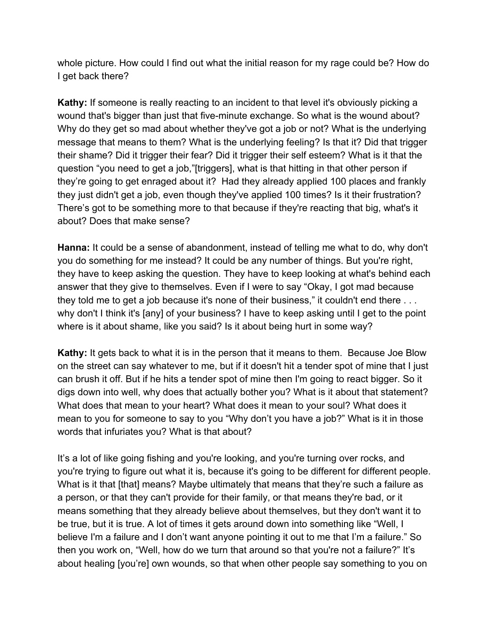whole picture. How could I find out what the initial reason for my rage could be? How do I get back there?

**Kathy:** If someone is really reacting to an incident to that level it's obviously picking a wound that's bigger than just that five-minute exchange. So what is the wound about? Why do they get so mad about whether they've got a job or not? What is the underlying message that means to them? What is the underlying feeling? Is that it? Did that trigger their shame? Did it trigger their fear? Did it trigger their self esteem? What is it that the question "you need to get a job,"[triggers], what is that hitting in that other person if they're going to get enraged about it? Had they already applied 100 places and frankly they just didn't get a job, even though they've applied 100 times? Is it their frustration? There's got to be something more to that because if they're reacting that big, what's it about? Does that make sense?

**Hanna:** It could be a sense of abandonment, instead of telling me what to do, why don't you do something for me instead? It could be any number of things. But you're right, they have to keep asking the question. They have to keep looking at what's behind each answer that they give to themselves. Even if I were to say "Okay, I got mad because they told me to get a job because it's none of their business," it couldn't end there ... why don't I think it's [any] of your business? I have to keep asking until I get to the point where is it about shame, like you said? Is it about being hurt in some way?

**Kathy:** It gets back to what it is in the person that it means to them. Because Joe Blow on the street can say whatever to me, but if it doesn't hit a tender spot of mine that I just can brush it off. But if he hits a tender spot of mine then I'm going to react bigger. So it digs down into well, why does that actually bother you? What is it about that statement? What does that mean to your heart? What does it mean to your soul? What does it mean to you for someone to say to you "Why don't you have a job?" What is it in those words that infuriates you? What is that about?

It's a lot of like going fishing and you're looking, and you're turning over rocks, and you're trying to figure out what it is, because it's going to be different for different people. What is it that [that] means? Maybe ultimately that means that they're such a failure as a person, or that they can't provide for their family, or that means they're bad, or it means something that they already believe about themselves, but they don't want it to be true, but it is true. A lot of times it gets around down into something like "Well, I believe I'm a failure and I don't want anyone pointing it out to me that I'm a failure." So then you work on, "Well, how do we turn that around so that you're not a failure?" It's about healing [you're] own wounds, so that when other people say something to you on